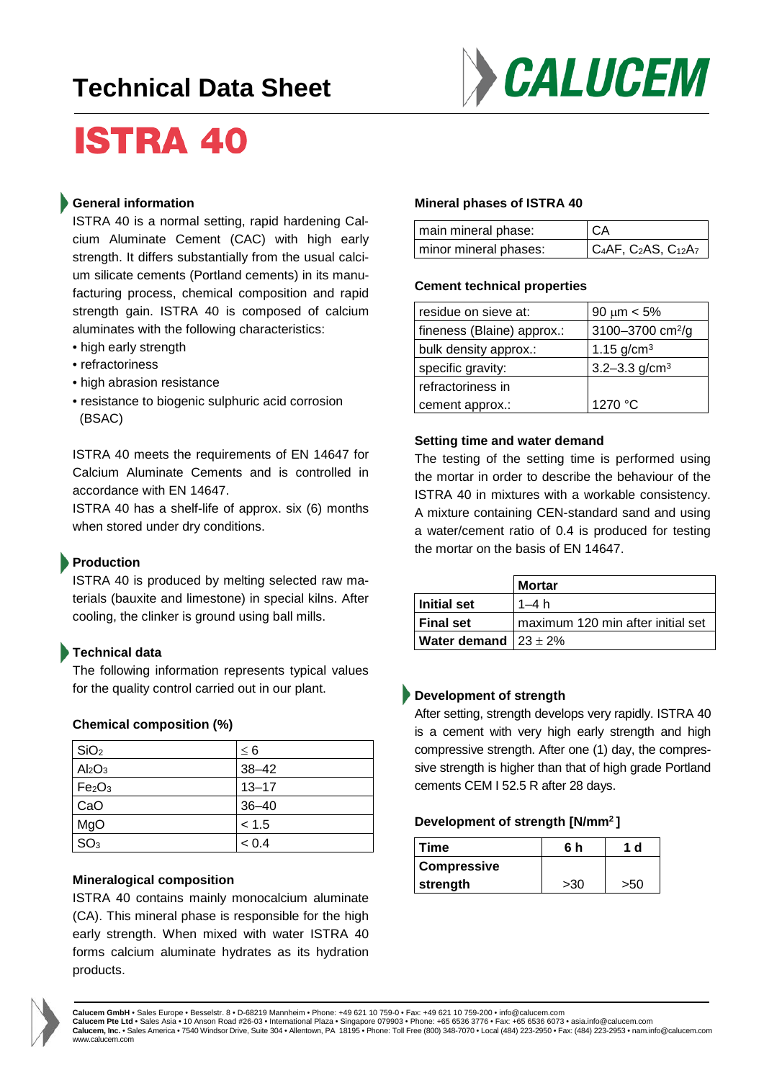# **Technical Data Sheet**



# **ISTRA 40**

### **General information**

ISTRA 40 is a normal setting, rapid hardening Calcium Aluminate Cement (CAC) with high early strength. It differs substantially from the usual calcium silicate cements (Portland cements) in its manufacturing process, chemical composition and rapid strength gain. ISTRA 40 is composed of calcium aluminates with the following characteristics:

- high early strength
- refractoriness
- high abrasion resistance
- resistance to biogenic sulphuric acid corrosion (BSAC)

ISTRA 40 meets the requirements of EN 14647 for Calcium Aluminate Cements and is controlled in accordance with EN 14647.

ISTRA 40 has a shelf-life of approx. six (6) months when stored under dry conditions.

# **Production**

ISTRA 40 is produced by melting selected raw materials (bauxite and limestone) in special kilns. After cooling, the clinker is ground using ball mills.

# **Technical data**

The following information represents typical values for the quality control carried out in our plant.

#### **Chemical composition (%)**

| SiO <sub>2</sub>               | $\leq 6$  |
|--------------------------------|-----------|
| Al <sub>2</sub> O <sub>3</sub> | $38 - 42$ |
| Fe <sub>2</sub> O <sub>3</sub> | $13 - 17$ |
| CaO                            | $36 - 40$ |
| MgO                            | < 1.5     |
| SO <sub>3</sub>                | < 0.4     |

#### **Mineralogical composition**

ISTRA 40 contains mainly monocalcium aluminate (CA). This mineral phase is responsible for the high early strength. When mixed with water ISTRA 40 forms calcium aluminate hydrates as its hydration products.

#### **Mineral phases of ISTRA 40**

| main mineral phase:   | <b>CA</b>                       |
|-----------------------|---------------------------------|
| minor mineral phases: | $C_4AF$ , $C_2AS$ , $C_{12}A_7$ |

#### **Cement technical properties**

| residue on sieve at:       | $90 \mu m < 5\%$             |  |
|----------------------------|------------------------------|--|
| fineness (Blaine) approx.: | 3100-3700 cm <sup>2</sup> /g |  |
| bulk density approx.:      | 1.15 $g/cm^{3}$              |  |
| specific gravity:          | 3.2-3.3 $g/cm3$              |  |
| refractoriness in          |                              |  |
| cement approx.:            | 1270 °C                      |  |

#### **Setting time and water demand**

The testing of the setting time is performed using the mortar in order to describe the behaviour of the ISTRA 40 in mixtures with a workable consistency. A mixture containing CEN-standard sand and using a water/cement ratio of 0.4 is produced for testing the mortar on the basis of EN 14647.

|                                   | <b>Mortar</b>                     |
|-----------------------------------|-----------------------------------|
| Initial set                       | $1-4h$                            |
| I Final set                       | maximum 120 min after initial set |
| <b>Water demand</b> $ 23 \pm 2\%$ |                                   |

# **Development of strength**

After setting, strength develops very rapidly. ISTRA 40 is a cement with very high early strength and high compressive strength. After one (1) day, the compressive strength is higher than that of high grade Portland cements CEM I 52.5 R after 28 days.

#### **Development of strength [N/mm2 ]**

| Time               | 6 h | d   |
|--------------------|-----|-----|
| <b>Compressive</b> |     |     |
| strength           | >30 | >50 |



**Calucem GmbH** • Sales Europe • Besselstr. 8 • D-68219 Mannheim • Phone: +49 621 10 759-0 • Fax: +49 621 10 759-200 • info@calucem.com

Calucem Pte Ltd • Sales Asia • 10 Anson Road #26-03 • International Plaza • Singapore 079903 • Phone: +65 6536 3776 • Fax: +65 6536 6073 • asia.info@calucem.com<br>Calucem, Inc. • Sales America • 7540 Windsor Drive, Suite 30 www.calucem.com